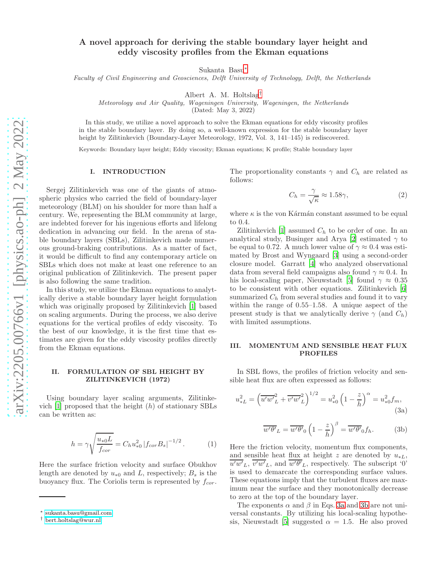# A novel approach for deriving the stable boundary layer height and eddy viscosity profiles from the Ekman equations

Sukanta Basu[∗](#page-0-0)

Faculty of Civil Engineering and Geosciences, Delft University of Technology, Delft, the Netherlands

Albert A. M. Holtslag[†](#page-0-1)

Meteorology and Air Quality, Wageningen University, Wageningen, the Netherlands

(Dated: May 3, 2022)

In this study, we utilize a novel approach to solve the Ekman equations for eddy viscosity profiles in the stable boundary layer. By doing so, a well-known expression for the stable boundary layer height by Zilitinkevich (Boundary-Layer Meteorology, 1972, Vol. 3, 141–145) is rediscovered.

Keywords: Boundary layer height; Eddy viscosity; Ekman equations; K profile; Stable boundary layer

## I. INTRODUCTION

Sergej Zilitinkevich was one of the giants of atmospheric physics who carried the field of boundary-layer meteorology (BLM) on his shoulder for more than half a century. We, representing the BLM community at large, are indebted forever for his ingenious efforts and lifelong dedication in advancing our field. In the arena of stable boundary layers (SBLs), Zilitinkevich made numerous ground-braking contributions. As a matter of fact, it would be difficult to find any contemporary article on SBLs which does not make at least one reference to an original publication of Zilitinkevich. The present paper is also following the same tradition.

In this study, we utilize the Ekman equations to analytically derive a stable boundary layer height formulation which was originally proposed by Zilitinkevich [\[1](#page-5-0)] based on scaling arguments. During the process, we also derive equations for the vertical profiles of eddy viscosity. To the best of our knowledge, it is the first time that estimates are given for the eddy viscosity profiles directly from the Ekman equations.

## II. FORMULATION OF SBL HEIGHT BY ZILITINKEVICH (1972)

Using boundary layer scaling arguments, Zilitinkevich  $[1]$  proposed that the height  $(h)$  of stationary SBLs can be written as:

$$
h = \gamma \sqrt{\frac{u_{*0}L}{f_{cor}}} = C_h u_{*0}^2 |f_{cor} B_s|^{-1/2}.
$$
 (1)

Here the surface friction velocity and surface Obukhov length are denoted by  $u_{*0}$  and L, respectively;  $B_s$  is the buoyancy flux. The Coriolis term is represented by  $f_{cor}$ .

The proportionality constants  $\gamma$  and  $C_h$  are related as follows:

$$
C_h = \frac{\gamma}{\sqrt{\kappa}} \approx 1.58\gamma,\tag{2}
$$

where  $\kappa$  is the von Kármán constant assumed to be equal to 0.4.

Zilitinkevich  $[1]$  assumed  $C_h$  to be order of one. In an analytical study, Businger and Arya [\[2\]](#page-5-1) estimated  $\gamma$  to be equal to 0.72. A much lower value of  $\gamma \approx 0.4$  was estimated by Brost and Wyngaard [\[3\]](#page-5-2) using a second-order closure model. Garratt [\[4](#page-5-3)] who analyzed observational data from several field campaigns also found  $\gamma \approx 0.4$ . In his local-scaling paper, Nieuwstadt [\[5](#page-5-4)] found  $\gamma \approx 0.35$ to be consistent with other equations. Zilitinkevich [\[6](#page-5-5)] summarized  $C_h$  from several studies and found it to vary within the range of 0.55–1.58. A unique aspect of the present study is that we analytically derive  $\gamma$  (and  $C_h$ ) with limited assumptions.

#### III. MOMENTUM AND SENSIBLE HEAT FLUX PROFILES

In SBL flows, the profiles of friction velocity and sensible heat flux are often expressed as follows:

<span id="page-0-2"></span>
$$
u_{*L}^2 = \left(\overline{u'w'}_L^2 + \overline{v'w'}_L^2\right)^{1/2} = u_{*0}^2 \left(1 - \frac{z}{h}\right)^\alpha = u_{*0}^2 f_m,
$$
\n(3a)

<span id="page-0-3"></span>
$$
\overline{w'\theta'}_L = \overline{w'\theta'}_0 \left(1 - \frac{z}{h}\right)^\beta = \overline{w'\theta'}_0 f_h. \tag{3b}
$$

Here the friction velocity, momentum flux components, and sensible heat flux at height z are denoted by  $u_{*L}$ ,  $\overline{u'w'}_L$ ,  $\overline{v'w'}_L$ , and  $\overline{w'\theta'}_L$ , respectively. The subscript '0' is used to demarcate the corresponding surface values. These equations imply that the turbulent fluxes are maximum near the surface and they monotonically decrease to zero at the top of the boundary layer.

The exponents  $\alpha$  and  $\beta$  in Eqs. [3a](#page-0-2) and [3b](#page-0-3) are not universal constants. By utilizing his local-scaling hypothe-sis, Nieuwstadt [\[5](#page-5-4)] suggested  $\alpha = 1.5$ . He also proved

<span id="page-0-0"></span><sup>∗</sup> [sukanta.basu@gmail.com](mailto:sukanta.basu@gmail.com)

<span id="page-0-1"></span><sup>†</sup> [bert.holtslag@wur.nl](mailto:bert.holtslag@wur.nl)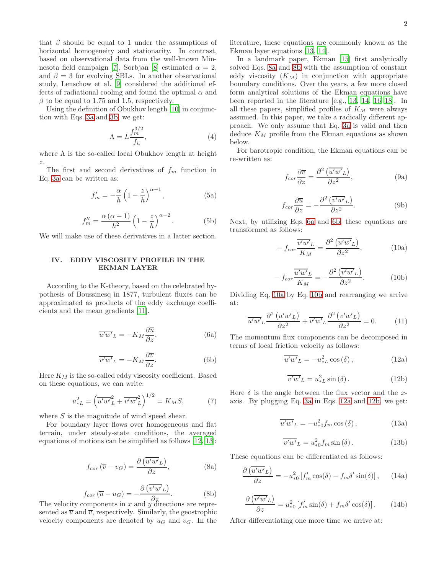that  $\beta$  should be equal to 1 under the assumptions of horizontal homogeneity and stationarity. In contrast, based on observational data from the well-known Min-nesota field campaign [\[7](#page-5-6)], Sorbjan [\[8\]](#page-5-7) estimated  $\alpha = 2$ , and  $\beta = 3$  for evolving SBLs. In another observational study, Lenschow et al. [\[9\]](#page-5-8) considered the additional effects of radiational cooling and found the optimal  $\alpha$  and  $\beta$  to be equal to 1.75 and 1.5, respectively.

Using the definition of Obukhov length [\[10](#page-5-9)] in conjunction with Eqs. [3a](#page-0-2) and [3b,](#page-0-3) we get:

<span id="page-1-13"></span>
$$
\Lambda = L \frac{f_m^{3/2}}{f_h},\tag{4}
$$

where  $\Lambda$  is the so-called local Obukhov length at height z.

The first and second derivatives of  $f_m$  function in Eq. [3a](#page-0-2) can be written as:

$$
f'_m = -\frac{\alpha}{h} \left( 1 - \frac{z}{h} \right)^{\alpha - 1},\tag{5a}
$$

<span id="page-1-11"></span>
$$
f_m'' = \frac{\alpha \left(\alpha - 1\right)}{h^2} \left(1 - \frac{z}{h}\right)^{\alpha - 2}.
$$
 (5b)

We will make use of these derivatives in a latter section.

### IV. EDDY VISCOSITY PROFILE IN THE EKMAN LAYER

According to the K-theory, based on the celebrated hypothesis of Boussinesq in 1877, turbulent fluxes can be approximated as products of the eddy exchange coefficients and the mean gradients [\[11\]](#page-5-10).

<span id="page-1-2"></span>
$$
\overline{u'w'}_L = -K_M \frac{\partial \overline{u}}{\partial z},\tag{6a}
$$

<span id="page-1-3"></span>
$$
\overline{v'w'}_L = -K_M \frac{\partial \overline{v}}{\partial z}.
$$
 (6b)

Here  $K_M$  is the so-called eddy viscosity coefficient. Based on these equations, we can write:

<span id="page-1-12"></span>
$$
u_{*L}^2 = \left(\overline{u'w'}_L^2 + \overline{v'w'}_L^2\right)^{1/2} = K_M S,\tag{7}
$$

where S is the magnitude of wind speed shear.

For boundary layer flows over homogeneous and flat terrain, under steady-state conditions, the averaged equations of motions can be simplified as follows [\[12](#page-5-11), [13\]](#page-5-12):

<span id="page-1-1"></span><span id="page-1-0"></span>
$$
f_{cor}(\overline{v} - v_G) = \frac{\partial \left(\overline{u'w'}_L\right)}{\partial z},\tag{8a}
$$

$$
f_{cor}(\overline{u} - u_G) = -\frac{\partial (\overline{v'w'}_L)}{\partial z}.
$$
 (8b)  
The velocity components in x and y directions are repre-

sented as  $\overline{u}$  and  $\overline{v}$ , respectively. Similarly, the geostrophic velocity components are denoted by  $u_G$  and  $v_G$ . In the literature, these equations are commonly known as the Ekman layer equations [\[13,](#page-5-12) [14\]](#page-5-13).

In a landmark paper, Ekman [\[15\]](#page-5-14) first analytically solved Eqs. [8a](#page-1-0) and [8b](#page-1-1) with the assumption of constant eddy viscosity  $(K_M)$  in conjunction with appropriate boundary conditions. Over the years, a few more closed form analytical solutions of the Ekman equations have been reported in the literature [e.g., [13,](#page-5-12) [14,](#page-5-13) [16](#page-5-15)[–18\]](#page-5-16). In all these papers, simplified profiles of  $K_M$  were always assumed. In this paper, we take a radically different approach. We only assume that Eq. [3a](#page-0-2) is valid and then deduce  $K_M$  profile from the Ekman equations as shown below.

For barotropic condition, the Ekman equations can be re-written as:

$$
f_{cor}\frac{\partial \overline{v}}{\partial z} = \frac{\partial^2 \left(\overline{u'w'}_L\right)}{\partial z^2},\tag{9a}
$$

$$
f_{cor}\frac{\partial \overline{u}}{\partial z} = -\frac{\partial^2 (\overline{v'w'}_L)}{\partial z^2}.
$$
 (9b)

Next, by utilizing Eqs. [6a](#page-1-2) and [6b,](#page-1-3) these equations are transformed as follows:

<span id="page-1-4"></span>
$$
-f_{cor}\frac{\overline{v'w'}_L}{K_M} = \frac{\partial^2\left(\overline{u'w'}_L\right)}{\partial z^2},\tag{10a}
$$

<span id="page-1-5"></span>
$$
-f_{cor}\frac{\overline{u'w'}_L}{K_M} = -\frac{\partial^2(\overline{v'w'}_L)}{\partial z^2}.
$$
 (10b)

Dividing Eq. [10a](#page-1-4) by Eq. [10b](#page-1-5) and rearranging we arrive at:

<span id="page-1-8"></span>
$$
\overline{u'w'}_L \frac{\partial^2 (\overline{u'w'}_L)}{\partial z^2} + \overline{v'w'}_L \frac{\partial^2 (\overline{v'w'}_L)}{\partial z^2} = 0.
$$
 (11)

The momentum flux components can be decomposed in terms of local friction velocity as follows:

<span id="page-1-6"></span>
$$
\overline{u'w'}_L = -u_{*L}^2 \cos(\delta), \qquad (12a)
$$

<span id="page-1-7"></span>
$$
\overline{v'w'}_L = u_{*L}^2 \sin(\delta).
$$
 (12b)

Here  $\delta$  is the angle between the flux vector and the xaxis. By plugging Eq. [3a](#page-0-2) in Eqs. [12a](#page-1-6) and [12b,](#page-1-7) we get:

<span id="page-1-9"></span>
$$
\overline{u'w'}_L = -u_{*0}^2 f_m \cos(\delta), \qquad (13a)
$$

<span id="page-1-10"></span>
$$
\overline{v'w'}_L = u_{*0}^2 f_m \sin(\delta).
$$
 (13b)

These equations can be differentiated as follows:

$$
\frac{\partial \left(\overline{u'w'}_L\right)}{\partial z} = -u_{*0}^2 \left[f'_m \cos(\delta) - f_m \delta' \sin(\delta)\right],\qquad(14a)
$$

$$
\frac{\partial \left(\overline{v'w'}_L\right)}{\partial z} = u_{*0}^2 \left[f'_m \sin(\delta) + f_m \delta' \cos(\delta)\right].\tag{14b}
$$

After differentiating one more time we arrive at: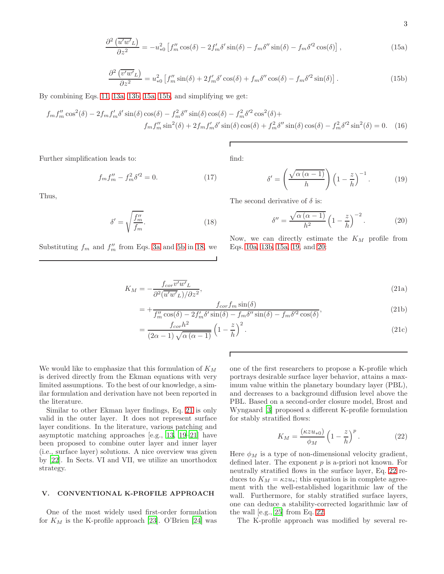<span id="page-2-0"></span>
$$
\frac{\partial^2}{\partial z^2} \left( \overline{u'w'}_L \right) = -u_{*0}^2 \left[ f_m'' \cos(\delta) - 2f_m' \delta' \sin(\delta) - f_m \delta'' \sin(\delta) - f_m \delta'^2 \cos(\delta) \right],\tag{15a}
$$

<span id="page-2-1"></span>
$$
\frac{\partial^2 \left( \overline{v'w'}_L \right)}{\partial z^2} = u_{*0}^2 \left[ f_m'' \sin(\delta) + 2 f_m' \delta' \cos(\delta) + f_m \delta'' \cos(\delta) - f_m \delta'^2 \sin(\delta) \right]. \tag{15b}
$$

By combining Eqs. [11,](#page-1-8) [13a,](#page-1-9) [13b,](#page-1-10) [15a,](#page-2-0) [15b,](#page-2-1) and simplifying we get:

$$
f_m f_m'' \cos^2(\delta) - 2f_m f_m' \delta' \sin(\delta) \cos(\delta) - f_m^2 \delta'' \sin(\delta) \cos(\delta) - f_m^2 \delta'^2 \cos^2(\delta) +
$$
  

$$
f_m f_m'' \sin^2(\delta) + 2f_m f_m' \delta' \sin(\delta) \cos(\delta) + f_m^2 \delta'' \sin(\delta) \cos(\delta) - f_m^2 \delta'^2 \sin^2(\delta) = 0. \quad (16)
$$

find:

 $\overline{\Gamma}$ 

Further simplification leads to:

$$
f_m f_m'' - f_m^2 \delta'^2 = 0.
$$
 (17)

Thus,

<span id="page-2-2"></span>
$$
\delta' = \sqrt{\frac{f_m''}{f_m}}.\tag{18}
$$

Substituting  $f_m$  and  $f''_m$  from Eqs. [3a](#page-0-2) and [5b](#page-1-11) in [18,](#page-2-2) we

<span id="page-2-4"></span> $\delta'' = \frac{\sqrt{\alpha (\alpha - 1)}}{12}$  $\frac{(\alpha-1)}{h^2}\left(1-\frac{z}{h}\right)$ h  $\bigg\}^{-2}$  $(20)$ 

 $\left(1-\frac{z}{h}\right)$ 

h  $\big)^{-1}$ 

<span id="page-2-3"></span> $\delta' = \left(\frac{\sqrt{\alpha\left(\alpha-1\right)}}{1}\right)$ h

Now, we can directly estimate the  $K_M$  profile from Eqs. [10a,](#page-1-4) [13b,](#page-1-10) [15a,](#page-2-0) [19,](#page-2-3) and [20:](#page-2-4)

$$
K_M = -\frac{f_{cor}\overline{v'w'}_L}{\partial^2(\overline{u'w'}_L)/\partial z^2},\tag{21a}
$$

$$
= +\frac{f_{cor}f_m\sin(\delta)}{f_m''\cos(\delta) - 2f_m'\delta'\sin(\delta) - f_m\delta''\sin(\delta) - f_m\delta'^2\cos(\delta)},
$$
\n(21b)

The second derivative of  $\delta$  is:

$$
=\frac{f_{cor}h^2}{(2\alpha-1)\sqrt{\alpha(\alpha-1)}}\left(1-\frac{z}{h}\right)^2.
$$
\n(21c)

We would like to emphasize that this formulation of  $K_M$ is derived directly from the Ekman equations with very limited assumptions. To the best of our knowledge, a similar formulation and derivation have not been reported in the literature.

Similar to other Ekman layer findings, Eq. [21](#page-2-5) is only valid in the outer layer. It does not represent surface layer conditions. In the literature, various patching and asymptotic matching approaches [e.g., [13,](#page-5-12) [19](#page-5-17)[–21\]](#page-5-18) have been proposed to combine outer layer and inner layer (i.e., surface layer) solutions. A nice overview was given by [\[22\]](#page-5-19). In Sects. VI and VII, we utilize an unorthodox strategy.

## V. CONVENTIONAL K-PROFILE APPROACH

One of the most widely used first-order formulation for  $K_M$  is the K-profile approach [\[23\]](#page-5-20). O'Brien [\[24\]](#page-5-21) was one of the first researchers to propose a K-profile which portrays desirable surface layer behavior, attains a maximum value within the planetary boundary layer (PBL), and decreases to a background diffusion level above the PBL. Based on a second-order closure model, Brost and Wyngaard [\[3\]](#page-5-2) proposed a different K-profile formulation for stably stratified flows:

<span id="page-2-6"></span>
$$
K_M = \frac{(\kappa z u_{*0})}{\phi_M} \left(1 - \frac{z}{h}\right)^p.
$$
 (22)

Here  $\phi_M$  is a type of non-dimensional velocity gradient, defined later. The exponent  $p$  is a-priori not known. For neutrally stratified flows in the surface layer, Eq. [22](#page-2-6) reduces to  $K_M = \kappa z u_*$ ; this equation is in complete agreement with the well-established logarithmic law of the wall. Furthermore, for stably stratified surface layers, one can deduce a stability-corrected logarithmic law of the wall [e.g., [25\]](#page-5-22) from Eq. [22.](#page-2-6)

The K-profile approach was modified by several re-

<span id="page-2-5"></span>. (19)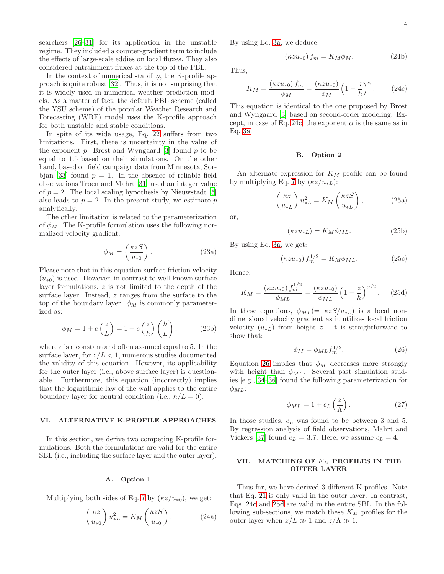searchers [\[26](#page-5-23)[–31\]](#page-5-24) for its application in the unstable regime. They included a counter-gradient term to include the effects of large-scale eddies on local fluxes. They also considered entrainment fluxes at the top of the PBL.

In the context of numerical stability, the K-profile approach is quite robust [\[32\]](#page-5-25). Thus, it is not surprising that it is widely used in numerical weather prediction models. As a matter of fact, the default PBL scheme (called the YSU scheme) of the popular Weather Research and Forecasting (WRF) model uses the K-profile approach for both unstable and stable conditions.

In spite of its wide usage, Eq. [22](#page-2-6) suffers from two limitations. First, there is uncertainty in the value of the exponent  $p$ . Brost and Wyngaard [\[3\]](#page-5-2) found  $p$  to be equal to 1.5 based on their simulations. On the other hand, based on field campaign data from Minnesota, Sor-bjan [\[33\]](#page-5-26) found  $p = 1$ . In the absence of reliable field observations Troen and Mahrt [\[31\]](#page-5-24) used an integer value of  $p = 2$ . The local scaling hypothesis by Nieuwstadt [\[5](#page-5-4)] also leads to  $p = 2$ . In the present study, we estimate p analytically.

The other limitation is related to the parameterization of  $\phi_M$ . The K-profile formulation uses the following normalized velocity gradient:

$$
\phi_M = \left(\frac{\kappa z S}{u_{*0}}\right). \tag{23a}
$$

Please note that in this equation surface friction velocity  $(u_{*0})$  is used. However, in contrast to well-known surface layer formulations,  $z$  is not limited to the depth of the surface layer. Instead, z ranges from the surface to the top of the boundary layer.  $\phi_M$  is commonly parameterized as:

$$
\phi_M = 1 + c\left(\frac{z}{L}\right) = 1 + c\left(\frac{z}{h}\right)\left(\frac{h}{L}\right),\tag{23b}
$$

where  $c$  is a constant and often assumed equal to 5. In the surface layer, for  $z/L < 1$ , numerous studies documented the validity of this equation. However, its applicability for the outer layer (i.e., above surface layer) is questionable. Furthermore, this equation (incorrectly) implies that the logarithmic law of the wall applies to the entire boundary layer for neutral condition (i.e.,  $h/L = 0$ ).

#### VI. ALTERNATIVE K-PROFILE APPROACHES

In this section, we derive two competing K-profile formulations. Both the formulations are valid for the entire SBL (i.e., including the surface layer and the outer layer).

#### A. Option 1

Multiplying both sides of Eq. [7](#page-1-12) by  $(\kappa z/u_{*0})$ , we get:

$$
\left(\frac{\kappa z}{u_{*0}}\right)u_{*L}^2 = K_M\left(\frac{\kappa zS}{u_{*0}}\right),\tag{24a}
$$

By using Eq. [3a,](#page-0-2) we deduce:

$$
(\kappa z u_{*0}) f_m = K_M \phi_M. \tag{24b}
$$

Thus,

<span id="page-3-0"></span>
$$
K_M = \frac{(\kappa z u_{*0}) f_m}{\phi_M} = \frac{(\kappa z u_{*0})}{\phi_M} \left(1 - \frac{z}{h}\right)^\alpha.
$$
 (24c)

This equation is identical to the one proposed by Brost and Wyngaard [\[3](#page-5-2)] based on second-order modeling. Ex-cept, in case of Eq. [24c,](#page-3-0) the exponent  $\alpha$  is the same as in Eq. [3a.](#page-0-2)

## B. Option 2

An alternate expression for  $K_M$  profile can be found by multiplying Eq. [7](#page-1-12) by  $(\kappa z/u_{*L})$ :

$$
\left(\frac{\kappa z}{u_{*L}}\right)u_{*L}^2 = K_M\left(\frac{\kappa zS}{u_{*L}}\right),\tag{25a}
$$

or,

$$
(\kappa z u_{*L}) = K_M \phi_{ML}.
$$
\n(25b)

By using Eq. [3a,](#page-0-2) we get:

$$
(\kappa z u_{*0}) f_m^{1/2} = K_M \phi_{ML}, \qquad (25c)
$$

Hence,

<span id="page-3-2"></span>
$$
K_M = \frac{(\kappa z u_{*0}) f_m^{1/2}}{\phi_{ML}} = \frac{(\kappa z u_{*0})}{\phi_{ML}} \left(1 - \frac{z}{h}\right)^{\alpha/2}.
$$
 (25d)

In these equations,  $\phi_{ML}(=\kappa zS/u_{*L})$  is a local nondimensional velocity gradient as it utilizes local friction velocity  $(u_{*L})$  from height z. It is straightforward to show that:

<span id="page-3-1"></span>
$$
\phi_M = \phi_{ML} f_m^{1/2}.\tag{26}
$$

Equation [26](#page-3-1) implies that  $\phi_M$  decreases more strongly with height than  $\phi_{ML}$ . Several past simulation studies [e.g., [34](#page-5-27)[–36](#page-5-28)] found the following parameterization for  $\phi_{ML}$ :

$$
\phi_{ML} = 1 + c_L \left(\frac{z}{\Lambda}\right). \tag{27}
$$

In those studies,  $c<sub>L</sub>$  was found to be between 3 and 5. By regression analysis of field observations, Mahrt and Vickers [\[37\]](#page-5-29) found  $c_L = 3.7$ . Here, we assume  $c_L = 4$ .

## VII. MATCHING OF  $K_M$  PROFILES IN THE OUTER LAYER

Thus far, we have derived 3 different K-profiles. Note that Eq. [21](#page-2-5) is only valid in the outer layer. In contrast, Eqs. [24c](#page-3-0) and [25d](#page-3-2) are valid in the entire SBL. In the following sub-sections, we match these  $K_M$  profiles for the outer layer when  $z/L \gg 1$  and  $z/\Lambda \gg 1$ .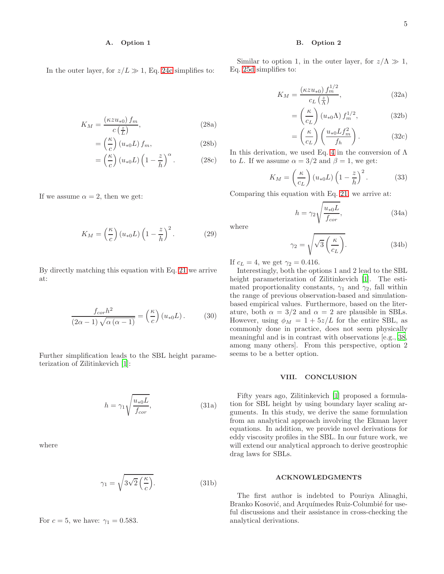## A. Option 1

In the outer layer, for  $z/L \gg 1$ , Eq. [24c](#page-3-0) simplifies to:

$$
K_M = \frac{\left(\kappa z u_{*0}\right) f_m}{c\left(\frac{z}{L}\right)},\tag{28a}
$$

$$
= \left(\frac{\kappa}{c}\right) \left(u_{*0}L\right) f_m, \tag{28b}
$$

$$
= \left(\frac{\kappa}{c}\right) \left(u_{*0}L\right) \left(1 - \frac{z}{h}\right)^{\alpha}.
$$
 (28c)

If we assume  $\alpha = 2$ , then we get:

$$
K_M = \left(\frac{\kappa}{c}\right) (u_{*0}L) \left(1 - \frac{z}{h}\right)^2.
$$
 (29)

By directly matching this equation with Eq. [21](#page-2-5) we arrive at:

$$
\frac{f_{cor}h^2}{(2\alpha - 1)\sqrt{\alpha(\alpha - 1)}} = \left(\frac{\kappa}{c}\right)(u_{*0}L). \tag{30}
$$

Further simplification leads to the SBL height parameterization of Zilitinkevich [\[1\]](#page-5-0):

$$
h = \gamma_1 \sqrt{\frac{u_{*0}L}{f_{cor}}},\tag{31a}
$$

where

$$
\gamma_1 = \sqrt{3\sqrt{2}\left(\frac{\kappa}{c}\right)}.\tag{31b}
$$

For  $c = 5$ , we have:  $\gamma_1 = 0.583$ .

#### B. Option 2

Similar to option 1, in the outer layer, for  $z/\Lambda \gg 1$ , Eq. [25d](#page-3-2) simplifies to:

$$
K_M = \frac{(\kappa z u_{*0}) f_m^{1/2}}{c_L \left(\frac{z}{\Lambda}\right)},\tag{32a}
$$

$$
= \left(\frac{\kappa}{c_L}\right) (u_{*0}\Lambda) f_m^{1/2}, \tag{32b}
$$

$$
= \left(\frac{\kappa}{c_L}\right) \left(\frac{u_{*0} L f_m^2}{f_h}\right). \tag{32c}
$$

In this derivation, we used Eq. [4](#page-1-13) in the conversion of  $\Lambda$ to L. If we assume  $\alpha = 3/2$  and  $\beta = 1$ , we get:

$$
K_M = \left(\frac{\kappa}{c_L}\right) (u_{*0}L) \left(1 - \frac{z}{h}\right)^2.
$$
 (33)

Comparing this equation with Eq. [21,](#page-2-5) we arrive at:

$$
h = \gamma_2 \sqrt{\frac{u_{*0}L}{f_{cor}}},\tag{34a}
$$

where

$$
\gamma_2 = \sqrt{\sqrt{3} \left( \frac{\kappa}{c_L} \right)}.
$$
\n(34b)

If  $c_L = 4$ , we get  $\gamma_2 = 0.416$ .

Interestingly, both the options 1 and 2 lead to the SBL height parameterization of Zilitinkevich [\[1\]](#page-5-0). The estimated proportionality constants,  $\gamma_1$  and  $\gamma_2$ , fall within the range of previous observation-based and simulationbased empirical values. Furthermore, based on the literature, both  $\alpha = 3/2$  and  $\alpha = 2$  are plausible in SBLs. However, using  $\phi_M = 1 + 5z/L$  for the entire SBL, as commonly done in practice, does not seem physically meaningful and is in contrast with observations [e.g., [38](#page-5-30), among many others]. From this perspective, option 2 seems to be a better option.

## VIII. CONCLUSION

Fifty years ago, Zilitinkevich [\[1](#page-5-0)] proposed a formulation for SBL height by using boundary layer scaling arguments. In this study, we derive the same formulation from an analytical approach involving the Ekman layer equations. In addition, we provide novel derivations for eddy viscosity profiles in the SBL. In our future work, we will extend our analytical approach to derive geostrophic drag laws for SBLs.

#### ACKNOWLEDGMENTS

The first author is indebted to Pouriya Alinaghi, Branko Kosović, and Arquímedes Ruiz-Columbié for useful discussions and their assistance in cross-checking the analytical derivations.